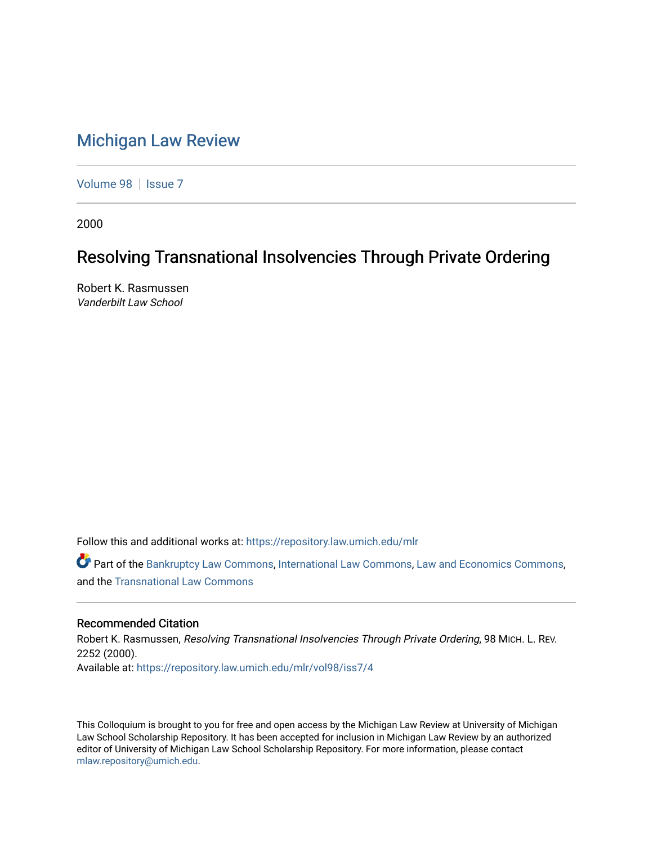# [Michigan Law Review](https://repository.law.umich.edu/mlr)

[Volume 98](https://repository.law.umich.edu/mlr/vol98) | [Issue 7](https://repository.law.umich.edu/mlr/vol98/iss7)

2000

## Resolving Transnational Insolvencies Through Private Ordering

Robert K. Rasmussen Vanderbilt Law School

Follow this and additional works at: [https://repository.law.umich.edu/mlr](https://repository.law.umich.edu/mlr?utm_source=repository.law.umich.edu%2Fmlr%2Fvol98%2Fiss7%2F4&utm_medium=PDF&utm_campaign=PDFCoverPages) 

Part of the [Bankruptcy Law Commons,](http://network.bepress.com/hgg/discipline/583?utm_source=repository.law.umich.edu%2Fmlr%2Fvol98%2Fiss7%2F4&utm_medium=PDF&utm_campaign=PDFCoverPages) [International Law Commons](http://network.bepress.com/hgg/discipline/609?utm_source=repository.law.umich.edu%2Fmlr%2Fvol98%2Fiss7%2F4&utm_medium=PDF&utm_campaign=PDFCoverPages), [Law and Economics Commons,](http://network.bepress.com/hgg/discipline/612?utm_source=repository.law.umich.edu%2Fmlr%2Fvol98%2Fiss7%2F4&utm_medium=PDF&utm_campaign=PDFCoverPages) and the [Transnational Law Commons](http://network.bepress.com/hgg/discipline/1123?utm_source=repository.law.umich.edu%2Fmlr%2Fvol98%2Fiss7%2F4&utm_medium=PDF&utm_campaign=PDFCoverPages) 

### Recommended Citation

Robert K. Rasmussen, Resolving Transnational Insolvencies Through Private Ordering, 98 MICH. L. REV. 2252 (2000). Available at: [https://repository.law.umich.edu/mlr/vol98/iss7/4](https://repository.law.umich.edu/mlr/vol98/iss7/4?utm_source=repository.law.umich.edu%2Fmlr%2Fvol98%2Fiss7%2F4&utm_medium=PDF&utm_campaign=PDFCoverPages)

This Colloquium is brought to you for free and open access by the Michigan Law Review at University of Michigan Law School Scholarship Repository. It has been accepted for inclusion in Michigan Law Review by an authorized editor of University of Michigan Law School Scholarship Repository. For more information, please contact [mlaw.repository@umich.edu.](mailto:mlaw.repository@umich.edu)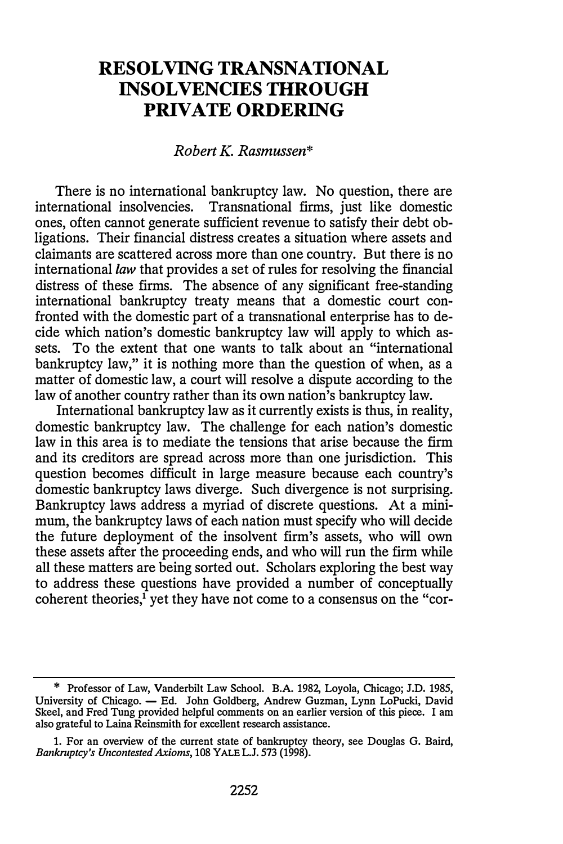## RESOLVING TRANSNATIONAL INSOLVENCIES THROUGH PRIVATE ORDERING

### Robert K. Rasmussen\*

There is no international bankruptcy law. No question, there are international insolvencies. Transnational firms, just like domestic ones, often cannot generate sufficient revenue to satisfy their debt obligations. Their financial distress creates a situation where assets and claimants are scattered across more than one country. But there is no international law that provides a set of rules for resolving the financial distress of these firms. The absence of any significant free-standing international bankruptcy treaty means that a domestic court confronted with the domestic part of a transnational enterprise has to decide which nation's domestic bankruptcy law will apply to which assets. To the extent that one wants to talk about an "international bankruptcy law," it is nothing more than the question of when, as a matter of domestic law, a court will resolve a dispute according to the law of another country rather than its own nation's bankruptcy law.

International bankruptcy law as it currently exists is thus, in reality, domestic bankruptcy law. The challenge for each nation's domestic law in this area is to mediate the tensions that arise because the firm and its creditors are spread across more than one jurisdiction. This question becomes difficult in large measure because each country's domestic bankruptcy laws diverge. Such divergence is not surprising. Bankruptcy laws address a myriad of discrete questions. At a minimum, the bankruptcy laws of each nation must specify who will decide the future deployment of the insolvent firm's assets, who will own these assets after the proceeding ends, and who will run the firm while all these matters are being sorted out. Scholars exploring the best way to address these questions have provided a number of conceptually coherent theories, $<sup>T</sup>$  yet they have not come to a consensus on the "cor-</sup>

<sup>\*</sup> Professor of Law, Vanderbilt Law School. B.A. 1982, Loyola, Chicago; J.D. 1985, University of Chicago. - Ed. John Goldberg, Andrew Guzman, Lynn LoPucki, David Skeel, and Fred Tung provided helpful comments on an earlier version of this piece. I am also grateful to Laina Reinsmith for excellent research assistance.

<sup>1.</sup> For an overview of the current state of bankruptcy theory, see Douglas G. Baird, Bankruptcy's Uncontested Axioms, 108 YALE L.J. 573 (1998).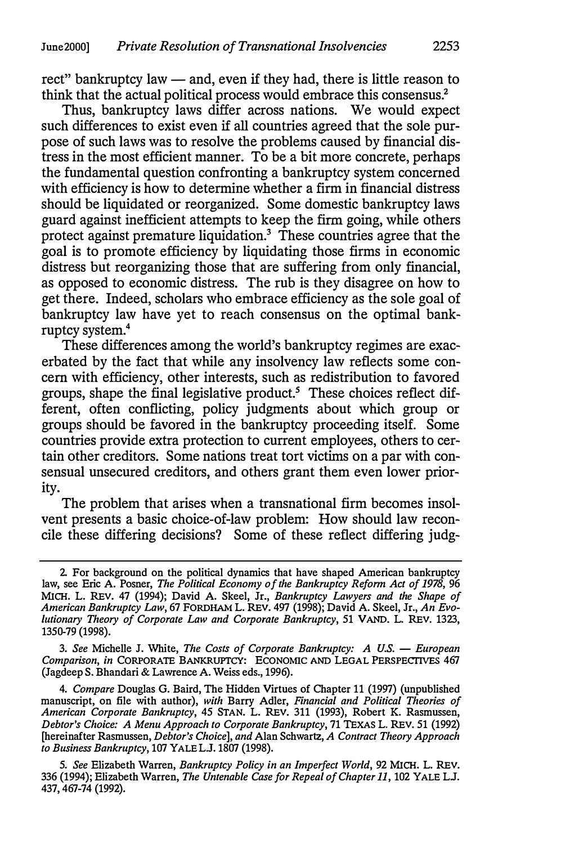rect" bankruptcy law — and, even if they had, there is little reason to think that the actual political process would embrace this consensus.2

Thus, bankruptcy laws differ across nations. We would expect such differences to exist even if all countries agreed that the sole purpose of such laws was to resolve the problems caused by financial distress in the most efficient manner. To be a bit more concrete, perhaps the fundamental question confronting a bankruptcy system concerned with efficiency is how to determine whether a firm in financial distress should be liquidated or reorganized. Some domestic bankruptcy laws guard against inefficient attempts to keep the firm going, while others protect against premature liquidation.<sup>3</sup> These countries agree that the goal is to promote efficiency by liquidating those firms in economic distress but reorganizing those that are suffering from only financial, as opposed to economic distress. The rub is they disagree on how to get there. Indeed, scholars who embrace efficiency as the sole goal of bankruptcy law have yet to reach consensus on the optimal bankruptcy system.4

These differences among the world's bankruptcy regimes are exacerbated by the fact that while any insolvency law reflects some concern with efficiency, other interests, such as redistribution to favored groups, shape the final legislative product.<sup>5</sup> These choices reflect different, often conflicting, policy judgments about which group or groups should be favored in the bankruptcy proceeding itself. Some countries provide extra protection to current employees, others to certain other creditors. Some nations treat tort victims on a par with consensual unsecured creditors, and others grant them even lower priority.

The problem that arises when a transnational firm becomes insolvent presents a basic choice-of-law problem: How should law reconcile these differing decisions? Some of these reflect differing judg-

3. See Michelle J. White, The Costs of Corporate Bankruptcy:  $A$  U.S. — European Comparison, in CORPORATE BANKRUPTCY: ECONOMIC AND LEGAL PERSPECTIVES 467 (Jagdeep S. Bhandari & Lawrence A. Weiss eds., 1996).

4. Compare Douglas G. Baird, The Hidden Virtues of Chapter 11 (1997) (unpublished manuscript, on file with author), with Barry Adler, Financial and Political Theories of American Corporate Bankruptcy, 45 STAN. L. REV. 311 (1993), Robert K. Rasmussen, Debtor's Choice: A Menu Approach to Corporate Bankruptcy, 71 TEXAS L. REV. 51 (1992) [hereinafter Rasmussen, Debtor's Choice], and Alan Schwartz, A Contract Theory Approach to Business Bankruptcy, 107 YALELJ. 1807 (1998).

5. See Elizabeth Warren, Bankruptcy Policy in an Imperfect World, 92 MICH. L. REV. 336 (1994); Elizabeth Warren, The Untenable Case for Repeal of Chapter 11, 102 YALE L.J. 437, 467-74 (1992).

<sup>2.</sup> For background on the political dynamics that have shaped American bankruptcy law, see Eric A. Posner, The Political Economy of the Bankruptcy Reform Act of 1978, 96 MICH. L. REV. 47 (1994); David A. Skeel, Jr., Bankruptcy Lawyers and the Shape of American Bankruptcy Law, 67 FORDHAM L. REV. 497 (1998); David A. Skeel, Jr., An Evolutionary Theory of Corporate Law and Corporate Bankruptcy, 51 VAND. L. REV. 1323, 1350-79 (1998).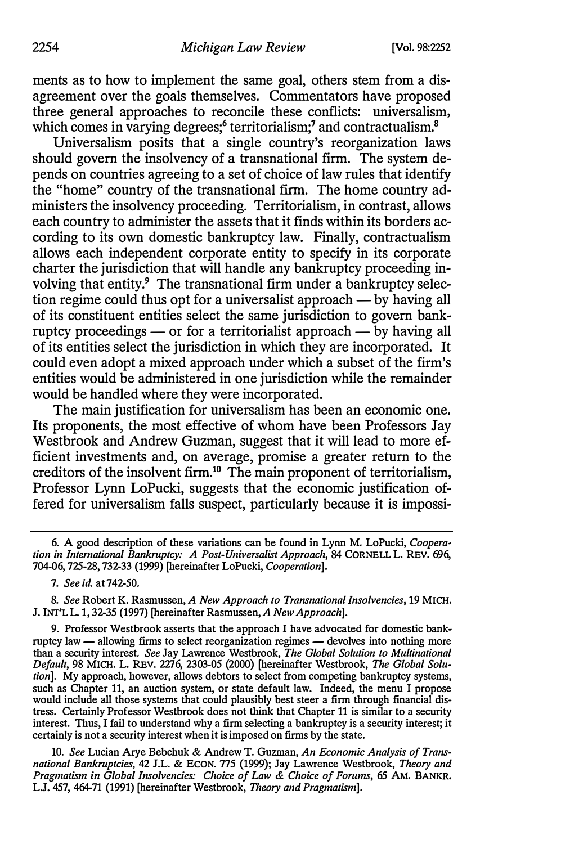ments as to how to implement the same goal, others stem from a disagreement over the goals themselves. Commentators have proposed three general approaches to reconcile these conflicts: universalism, which comes in varying degrees; $6$  territorialism; $7$  and contractualism. $8$ 

Universalism posits that a single country's reorganization laws should govern the insolvency of a transnational firm. The system depends on countries agreeing to a set of choice of law rules that identify the "home" country of the transnational firm. The home country administers the insolvency proceeding. Territorialism, in contrast, allows each country to administer the assets that it finds within its borders according to its own domestic bankruptcy law. Finally, contractualism allows each independent corporate entity to specify in its corporate charter the jurisdiction that will handle any bankruptcy proceeding involving that entity.<sup>9</sup> The transnational firm under a bankruptcy selection regime could thus opt for a universalist approach  $-$  by having all of its constituent entities select the same jurisdiction to govern bankruptcy proceedings  $-$  or for a territorialist approach  $-$  by having all of its entities select the jurisdiction in which they are incorporated. It could even adopt a mixed approach under which a subset of the firm's entities would be administered in one jurisdiction while the remainder would be handled where they were incorporated.

The main justification for universalism has been an economic one. Its proponents, the most effective of whom have been Professors Jay Westbrook and Andrew Guzman, suggest that it will lead to more efficient investments and, on average, promise a greater return to the creditors of the insolvent firm.10 The main proponent of territorialism, Professor Lynn LoPucki, suggests that the economic justification offered for universalism falls suspect, particularly because it is impossi-

10. See Lucian Arye Bebchuk & Andrew T. Guzman, An Economic Analysis of Trans· national Bankruptcies, 42 J.L. & ECON. 775 (1999); Jay Lawrence Westbrook, Theory and Pragmatism in Global Insolvencies: Choice of Law & Choice of Forums, 65 AM. BANKR. LJ. 457, 464-71 (1991) [hereinafter Westbrook, Theory and Pragmatism].

<sup>6.</sup> A good description of these variations can be found in Lynn M. LoPucki, Coopera· tion in International Bankruptcy: A Post-Universalist Approach, 84 CORNELL L. REV. 696, 704-06, 725-28, 732-33 (1999) [hereinafter LoPucki, Cooperation].

<sup>7.</sup> See id. at 742-50.

<sup>8.</sup> See Robert K. Rasmussen, A New Approach to Transnational Insolvencies, 19 MICH. J. INT'L L. 1, 32-35 (1997) [hereinafter Rasmussen, A New Approach].

<sup>9.</sup> Professor Westbrook asserts that the approach I have advocated for domestic bankruptcy law - allowing firms to select reorganization regimes - devolves into nothing more than a security interest. See Jay Lawrence Westbrook, The Global Solution to Multinational Default, 98 MICH. L. REV. 2276, 2303-05 (2000) [hereinafter Westbrook, The Global Solution]. My approach, however, allows debtors to select from competing bankruptcy systems, such as Chapter 11, an auction system, or state default law. Indeed, the menu I propose would include all those systems that could plausibly best steer a firm through financial distress. Certainly Professor Westbrook does not think that Chapter 11 is similar to a security interest. Thus, I fail to understand why a firm selecting a bankruptcy is a security interest; it certainly is not a security interest when it is imposed on firms by the state.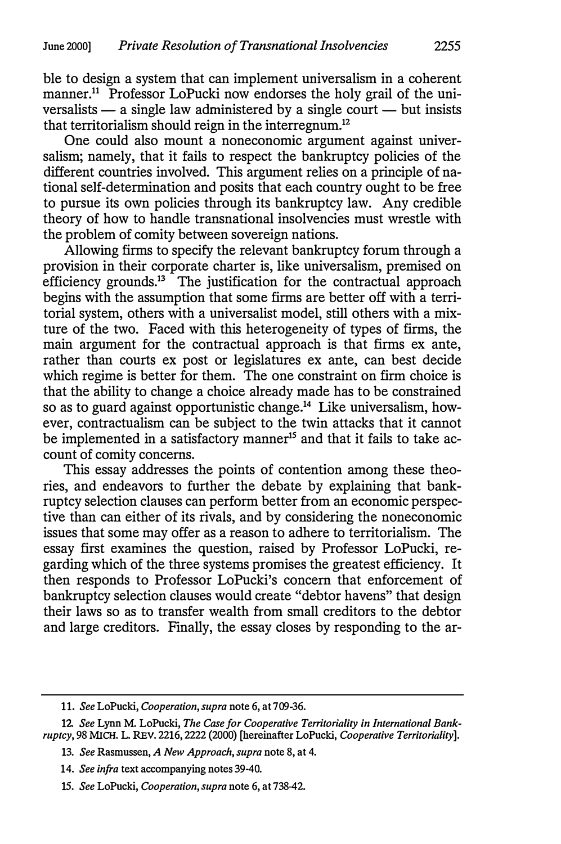ble to design a system that can implement universalism in a coherent manner.<sup>11</sup> Professor LoPucki now endorses the holy grail of the universalists  $-$  a single law administered by a single court  $-$  but insists that territorialism should reign in the interregnum.12

One could also mount a noneconomic argument against universalism; namely, that it fails to respect the bankruptcy policies of the different countries involved. This argument relies on a principle of national self-determination and posits that each country ought to be free to pursue its own policies through its bankruptcy law. Any credible theory of how to handle transnational insolvencies must wrestle with the problem of comity between sovereign nations.

Allowing firms to specify the relevant bankruptcy forum through a provision in their corporate charter is, like universalism, premised on efficiency grounds. $13$  The justification for the contractual approach begins with the assumption that some firms are better off with a territorial system, others with a universalist model, still others with a mixture of the two. Faced with this heterogeneity of types of firms, the main argument for the contractual approach is that firms ex ante, rather than courts ex post or legislatures ex ante, can best decide which regime is better for them. The one constraint on firm choice is that the ability to change a choice already made has to be constrained so as to guard against opportunistic change.<sup>14</sup> Like universalism, however, contractualism can be subject to the twin attacks that it cannot be implemented in a satisfactory manner<sup>15</sup> and that it fails to take account of comity concerns.

This essay addresses the points of contention among these theories, and endeavors to further the debate by explaining that bankruptcy selection clauses can perform better from an economic perspective than can either of its rivals, and by considering the noneconomic issues that some may offer as a reason to adhere to territorialism. The essay first examines the question, raised by Professor LoPucki, regarding which of the three systems promises the greatest efficiency. It then responds to Professor LoPucki's concern that enforcement of bankruptcy selection clauses would create "debtor havens" that design their laws so as to transfer wealth from small creditors to the debtor and large creditors. Finally, the essay closes by responding to the ar-

<sup>11.</sup> See LoPucki, Cooperation, supra note 6, at 709-36.

<sup>12</sup> See Lynn M. LoPucki, The Case for Cooperative Territoriality in International Bankruptcy, 98 MICH. L. REV. 2216, 2222 (2000) [hereinafter LoPucki, Cooperative Territoriality].

<sup>13.</sup> See Rasmussen, A New Approach, supra note 8, at 4.

<sup>14.</sup> See infra text accompanying notes 39-40.

<sup>15.</sup> See LoPucki, Cooperation, supra note 6, at 738-42.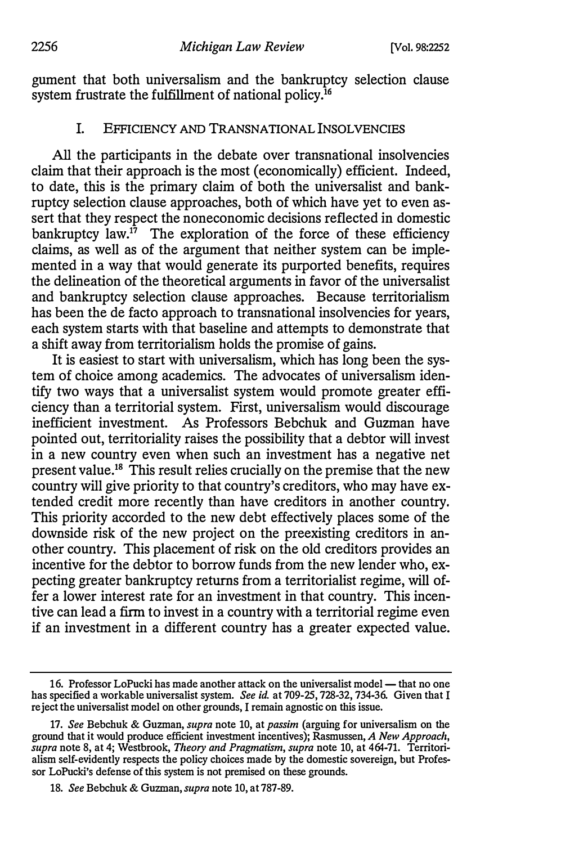gument that both universalism and the bankruptcy selection clause system frustrate the fulfillment of national policy.<sup>16</sup>

#### I. EFFICIENCY AND TRANSNATIONAL INSOLVENCIES

All the participants in the debate over transnational insolvencies claim that their approach is the most (economically) efficient. Indeed, to date, this is the primary claim of both the universalist and bankruptcy selection clause approaches, both of which have yet to even assert that they respect the noneconomic decisions reflected in domestic bankruptcy  $law<sup>17</sup>$  The exploration of the force of these efficiency claims, as well as of the argument that neither system can be implemented in a way that would generate its purported benefits, requires the delineation of the theoretical arguments in favor of the universalist and bankruptcy selection clause approaches. Because territorialism has been the de facto approach to transnational insolvencies for years, each system starts with that baseline and attempts to demonstrate that a shift away from territorialism holds the promise of gains.

It is easiest to start with universalism, which has long been the system of choice among academics. The advocates of universalism identify two ways that a universalist system would promote greater efficiency than a territorial system. First, universalism would discourage inefficient investment. As Professors Bebchuk and Guzman have pointed out, territoriality raises the possibility that a debtor will invest in a new country even when such an investment has a negative net present value.18 This result relies crucially on the premise that the new country will give priority to that country's creditors, who may have extended credit more recently than have creditors in another country. This priority accorded to the new debt effectively places some of the downside risk of the new project on the preexisting creditors in another country. This placement of risk on the old creditors provides an incentive for the debtor to borrow funds from the new lender who, expecting greater bankruptcy returns from a territorialist regime, will offer a lower interest rate for an investment in that country. This incentive can lead a firm to invest in a country with a territorial regime even if an investment in a different country has a greater expected value.

<sup>16.</sup> Professor LoPucki has made another attack on the universalist model — that no one has specified a workable universalist system. See id. at 709-25, 728-32, 734-36. Given that I reject the universalist model on other grounds, I remain agnostic on this issue.

<sup>17.</sup> See Bebchuk & Guzman, supra note 10, at passim (arguing for universalism on the ground that it would produce efficient investment incentives); Rasmussen, A New Approach, supra note 8, at 4; Westbrook, Theory and Pragmatism, supra note 10, at 464-71. Territorialism self-evidently respects the policy choices made by the domestic sovereign, but Professor LoPucki's defense of this system is not premised on these grounds.

<sup>18.</sup> See Bebchuk & Guzman, supra note 10, at 787-89.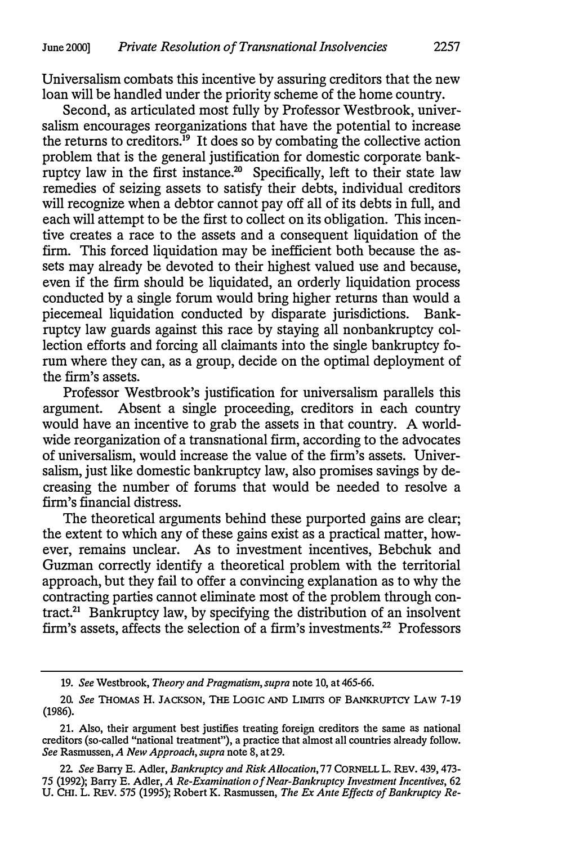Universalism combats this incentive by assuring creditors that the new loan will be handled under the priority scheme of the home country.

Second, as articulated most fully by Professor Westbrook, universalism encourages reorganizations that have the potential to increase the returns to creditors.<sup>19</sup> It does so by combating the collective action problem that is the general justification for domestic corporate bankruptcy law in the first instance.<sup>20</sup> Specifically, left to their state law remedies of seizing assets to satisfy their debts, individual creditors will recognize when a debtor cannot pay off all of its debts in full, and each will attempt to be the first to collect on its obligation. This incentive creates a race to the assets and a consequent liquidation of the firm. This forced liquidation may be inefficient both because the assets may already be devoted to their highest valued use and because, even if the firm should be liquidated, an orderly liquidation process conducted by a single forum would bring higher returns than would a piecemeal liquidation conducted by disparate jurisdictions. Bankruptcy law guards against this race by staying all nonbankruptcy collection efforts and forcing all claimants into the single bankruptcy forum where they can, as a group, decide on the optimal deployment of the firm's assets.

Professor Westbrook's justification for universalism parallels this argument. Absent a single proceeding, creditors in each country would have an incentive to grab the assets in that country. A worldwide reorganization of a transnational firm, according to the advocates of universalism, would increase the value of the firm's assets. Universalism, just like domestic bankruptcy law, also promises savings by decreasing the number of forums that would be needed to resolve a firm's financial distress.

The theoretical arguments behind these purported gains are clear; the extent to which any of these gains exist as a practical matter, however, remains unclear. As to investment incentives, Bebchuk and Guzman correctly identify a theoretical problem with the territorial approach, but they fail to offer a convincing explanation as to why the contracting parties cannot eliminate most of the problem through contract.21 Bankruptcy law, by specifying the distribution of an insolvent firm's assets, affects the selection of a firm's investments.<sup>22</sup> Professors

<sup>19.</sup> See Westbrook, Theory and Pragmatism, supra note 10, at 465-66.

<sup>20.</sup> See THOMAS H. JACKSON, THE LOGIC AND LIMITS OF BANKRUPTCY LAW 7-19 (1986).

<sup>21.</sup> Also, their argument best justifies treating foreign creditors the same as national creditors (so-called "national treatment"), a practice that almost all countries already follow. See Rasmussen, A New Approach, supra note 8, at 29.

<sup>22</sup> See Barry E. Adler, Bankruptcy and Risk Allocation, 77 CORNELL L. REV. 439, 473- 75 (1992); Barry E. Adler, A Re-Examination of Near-Bankruptcy Investment Incentives, 62 U. CHI. L. REV. 575 (1995); Robert K. Rasmussen, The Ex Ante Effects of Bankruptcy Re-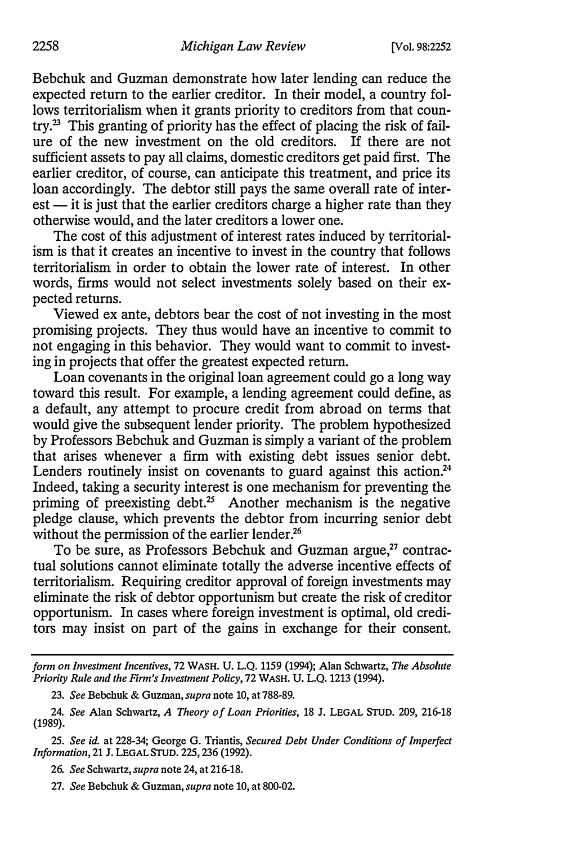Bebchuk and Guzman demonstrate how later lending can reduce the expected return to the earlier creditor. In their model, a country follows territorialism when it grants priority to creditors from that coun $try<sup>23</sup>$  This granting of priority has the effect of placing the risk of failure of the new investment on the old creditors. If there are not sufficient assets to pay all claims, domestic creditors get paid first. The earlier creditor, of course, can anticipate this treatment, and price its loan accordingly. The debtor still pays the same overall rate of inter $est$   $-$  it is just that the earlier creditors charge a higher rate than they otherwise would, and the later creditors a lower one.

The cost of this adjustment of interest rates induced by territorialism is that it creates an incentive to invest in the country that follows territorialism in order to obtain the lower rate of interest. In other words, firms would not select investments solely based on their expected returns.

Viewed ex ante, debtors bear the cost of not investing in the most promising projects. They thus would have an incentive to commit to not engaging in this behavior. They would want to commit to investing in projects that offer the greatest expected return.

Loan covenants in the original loan agreement could go a long way toward this result. For example, a lending agreement could define, as a default, any attempt to procure credit from abroad on terms that would give the subsequent lender priority. The problem hypothesized by Professors Bebchuk and Guzman is simply a variant of the problem that arises whenever a firm with existing debt issues senior debt. Lenders routinely insist on covenants to guard against this action.<sup>24</sup> Indeed, taking a security interest is one mechanism for preventing the priming of preexisting debt.<sup>25</sup> Another mechanism is the negative pledge clause, which prevents the debtor from incurring senior debt without the permission of the earlier lender.<sup>26</sup>

To be sure, as Professors Bebchuk and Guzman argue,<sup>27</sup> contractual solutions cannot eliminate totally the adverse incentive effects of territorialism. Requiring creditor approval of foreign investments may eliminate the risk of debtor opportunism but create the risk of creditor opportunism. In cases where foreign investment is optimal, old creditors may insist on part of the gains in exchange for their consent.

23. See Bebchuk & Guzman, supra note 10, at 788-89.

24. See Alan Schwartz, A Theory of Loan Priorities, 18 J. LEGAL STUD. 209, 216-18 (1989).

25. See id. at 228-34; George G. Triantis, Secured Debt Under Conditions of Imperfect Information, 21 J. LEGAL STUD. 225, 236 (1992).

26. See Schwartz, supra note 24, at 216-18.

27. See Bebchuk & Guzman, supra note 10, at 800-02.

form on Investment Incentives, 72 WASH. U. L.Q. 1159 (1994); Alan Schwartz, The Absolute Priority Rule and the Firm's Investment Policy, 72 WASH. U. L.Q. 1213 (1994).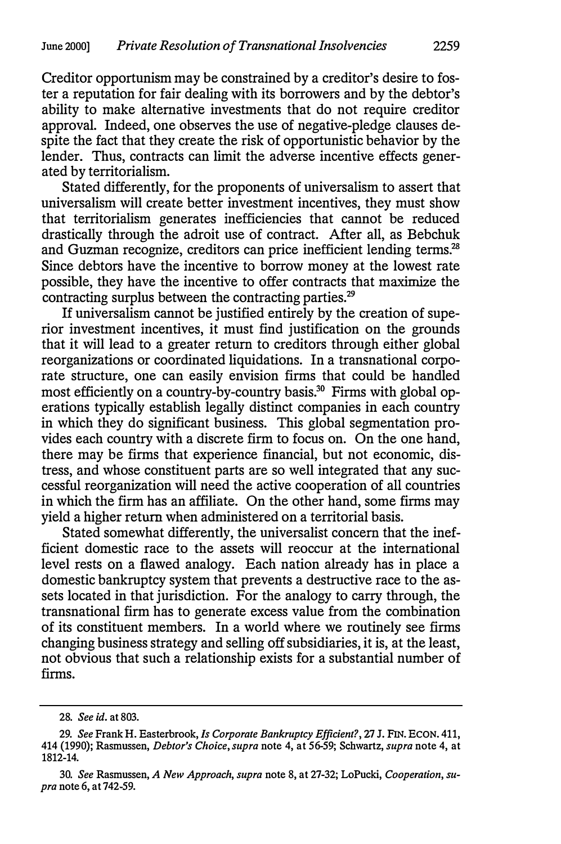Creditor opportunism may be constrained by a creditor's desire to foster a reputation for fair dealing with its borrowers and by the debtor's ability to make alternative investments that do not require creditor approval. Indeed, one observes the use of negative-pledge clauses despite the fact that they create the risk of opportunistic behavior by the lender. Thus, contracts can limit the adverse incentive effects generated by territorialism.

Stated differently, for the proponents of universalism to assert that universalism will create better investment incentives, they must show that territorialism generates inefficiencies that cannot be reduced drastically through the adroit use of contract. After all, as Bebchuk and Guzman recognize, creditors can price inefficient lending terms.<sup>28</sup> Since debtors have the incentive to borrow money at the lowest rate possible, they have the incentive to offer contracts that maximize the contracting surplus between the contracting parties.<sup>29</sup>

If universalism cannot be justified entirely by the creation of superior investment incentives, it must find justification on the grounds that it will lead to a greater return to creditors through either global reorganizations or coordinated liquidations. In a transnational corporate structure, one can easily envision firms that could be handled most efficiently on a country-by-country basis.<sup>30</sup> Firms with global operations typically establish legally distinct companies in each country in which they do significant business. This global segmentation provides each country with a discrete firm to focus on. On the one hand, there may be firms that experience financial, but not economic, distress, and whose constituent parts are so well integrated that any successful reorganization will need the active cooperation of all countries in which the firm has an affiliate. On the other hand, some firms may yield a higher return when administered on a territorial basis.

Stated somewhat differently, the universalist concern that the inefficient domestic race to the assets will reoccur at the international level rests on a flawed analogy. Each nation already has in place a domestic bankruptcy system that prevents a destructive race to the assets located in that jurisdiction. For the analogy to carry through, the transnational firm has to generate excess value from the combination of its constituent members. In a world where we routinely see firms changing business strategy and selling off subsidiaries, it is, at the least, not obvious that such a relationship exists for a substantial number of firms.

<sup>28.</sup> See id. at 803.

<sup>29.</sup> See Frank H. Easterbrook, Is Corporate Bankruptcy Efficient?, 27 J. FIN. ECON. 411, 414 (1990); Rasmussen, Debtor's Choice, supra note 4, at 56-59; Schwartz, supra note 4, at 1812-14.

<sup>30.</sup> See Rasmussen, A New Approach, supra note 8, at 27-32; LoPucki, Cooperation, supra note 6, at 742-59.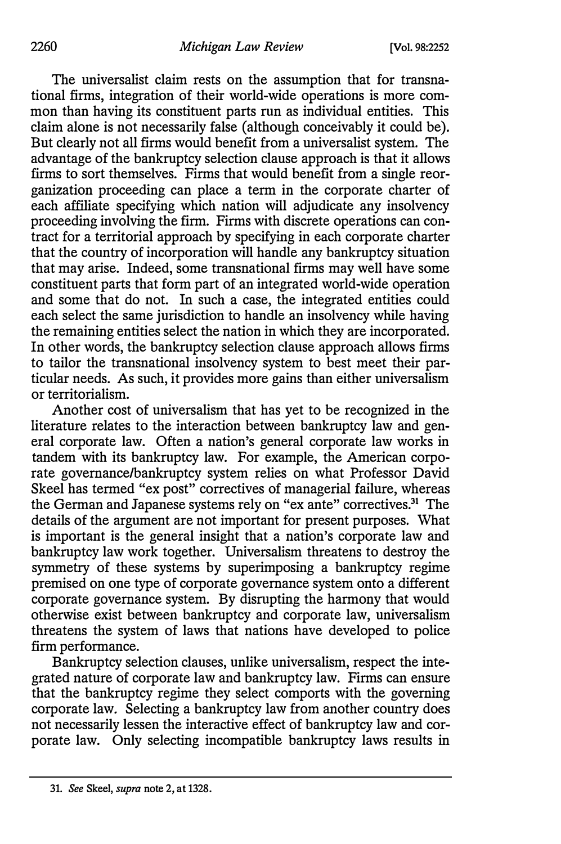The universalist claim rests on the assumption that for transnational firms, integration of their world-wide operations is more common than having its constituent parts run as individual entities. This claim alone is not necessarily false (although conceivably it could be). But clearly not all firms would benefit from a universalist system. The advantage of the bankruptcy selection clause approach is that it allows firms to sort themselves. Firms that would benefit from a single reorganization proceeding can place a term in the corporate charter of each affiliate specifying which nation will adjudicate any insolvency proceeding involving the firm. Firms with discrete operations can contract for a territorial approach by specifying in each corporate charter that the country of incorporation will handle any bankruptcy situation that may arise. Indeed, some transnational firms may well have some constituent parts that form part of an integrated world-wide operation and some that do not. In such a case, the integrated entities could each select the same jurisdiction to handle an insolvency while having the remaining entities select the nation in which they are incorporated. In other words, the bankruptcy selection clause approach allows firms to tailor the transnational insolvency system to best meet their particular needs. As such, it provides more gains than either universalism or territorialism.

Another cost of universalism that has yet to be recognized in the literature relates to the interaction between bankruptcy law and general corporate law. Often a nation's general corporate law works in tandem with its bankruptcy law. For example, the American corporate governance/bankruptcy system relies on what Professor David Skeel has termed "ex post" correctives of managerial failure, whereas the German and Japanese systems rely on "ex ante" correctives.31 The details of the argument are not important for present purposes. What is important is the general insight that a nation's corporate law and bankruptcy law work together. Universalism threatens to destroy the symmetry of these systems by superimposing a bankruptcy regime premised on one type of corporate governance system onto a different corporate governance system. By disrupting the harmony that would otherwise exist between bankruptcy and corporate law, universalism threatens the system of laws that nations have developed to police firm performance.

Bankruptcy selection clauses, unlike universalism, respect the integrated nature of corporate law and bankruptcy law. Firms can ensure that the bankruptcy regime they select comports with the governing corporate law. Selecting a bankruptcy law from another country does not necessarily lessen the interactive effect of bankruptcy law and corporate law. Only selecting incompatible bankruptcy laws results in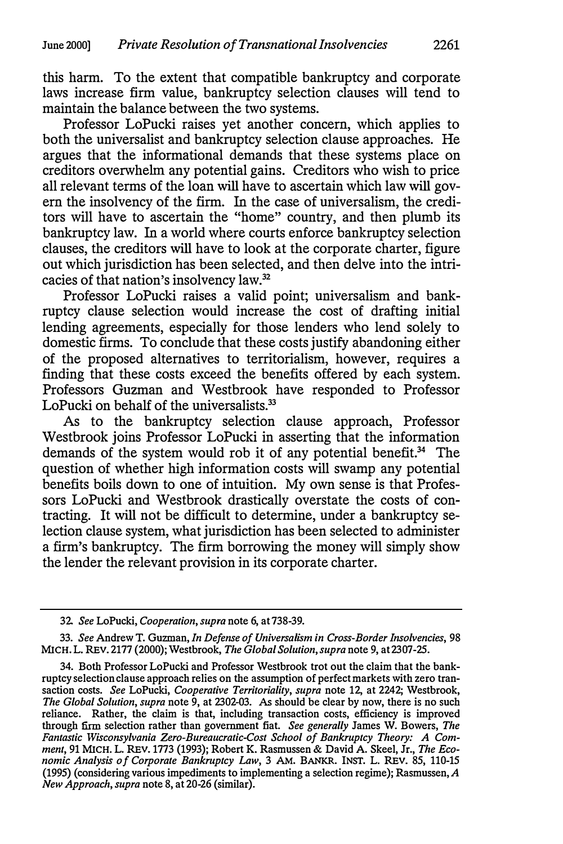this harm. To the extent that compatible bankruptcy and corporate laws increase firm value, bankruptcy selection clauses will tend to maintain the balance between the two systems.

Professor LoPucki raises yet another concern, which applies to both the universalist and bankruptcy selection clause approaches. He argues that the informational demands that these systems place on creditors overwhelm any potential gains. Creditors who wish to price all relevant terms of the loan will have to ascertain which law will govern the insolvency of the firm. In the case of universalism, the creditors will have to ascertain the "home" country, and then plumb its bankruptcy law. In a world where courts enforce bankruptcy selection clauses, the creditors will have to look at the corporate charter, figure out which jurisdiction has been selected, and then delve into the intricacies of that nation's insolvency law.32

Professor LoPucki raises a valid point; universalism and bankruptcy clause selection would increase the cost of drafting initial lending agreements, especially for those lenders who lend solely to domestic firms. To conclude that these costs justify abandoning either of the proposed alternatives to territorialism, however, requires a finding that these costs exceed the benefits offered by each system. Professors Guzman and Westbrook have responded to Professor LoPucki on behalf of the universalists.<sup>33</sup>

As to the bankruptcy selection clause approach, Professor Westbrook joins Professor LoPucki in asserting that the information demands of the system would rob it of any potential benefit.<sup>34</sup> The question of whether high information costs will swamp any potential benefits boils down to one of intuition. My own sense is that Professors LoPucki and Westbrook drastically overstate the costs of contracting. It will not be difficult to determine, under a bankruptcy selection clause system, what jurisdiction has been selected to administer a firm's bankruptcy. The firm borrowing the money will simply show the lender the relevant provision in its corporate charter.

<sup>32</sup> See LoPucki, Cooperation, supra note 6, at 738-39.

<sup>33.</sup> See Andrew T. Guzman, In Defense of Universalism in Cross-Border Insolvencies, 98 MICH. L. REV. 2177 (2000); Westbrook, The Global Solution, supra note 9, at 2307-25.

<sup>34.</sup> Both Professor LoPucki and Professor Westbrook trot out the claim that the bankruptcy selection clause approach relies on the assumption of perfect markets with zero transaction costs. See LoPucki, Cooperative Territoriality, supra note 12, at 2242; Westbrook, The Global Solution, supra note 9, at 2302-03. As should be clear by now, there is no such reliance. Rather, the claim is that, including transaction costs, efficiency is improved through firm selection rather than government fiat. See generally James W. Bowers, The Fantastic Wisconsylvania Zero-Bureaucratic-Cost School of Bankruptcy Theory: A Comment, 91 MICH. L. REV. 1773 (1993); Robert K. Rasmussen & David A. Skeel, Jr., *The Eco*nomic Analysis of Corporate Bankruptcy Law, 3 AM. BANKR. INST. L. REV. 85, 110-15 (1995) (considering various impediments to implementing a selection regime); Rasmussen,  $A$ New Approach, supra note 8, at 20-26 (similar).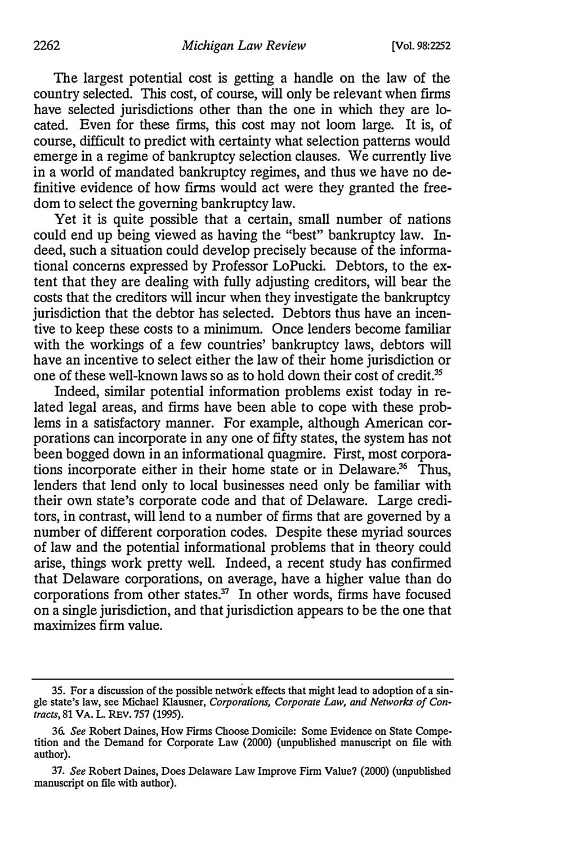The largest potential cost is getting a handle on the law of the country selected. This cost, of course, will only be relevant when firms have selected jurisdictions other than the one in which they are located. Even for these firms, this cost may not loom large. It is, of course, difficult to predict with certainty what selection patterns would emerge in a regime of bankruptcy selection clauses. We currently live in a world of mandated bankruptcy regimes, and thus we have no definitive evidence of how firms would act were they granted the freedom to select the governing bankruptcy law.

Yet it is quite possible that a certain, small number of nations could end up being viewed as having the "best" bankruptcy law. Indeed, such a situation could develop precisely because of the informational concerns expressed by Professor LoPucki. Debtors, to the extent that they are dealing with fully adjusting creditors, will bear the costs that the creditors will incur when they investigate the bankruptcy jurisdiction that the debtor has selected. Debtors thus have an incentive to keep these costs to a minimum. Once lenders become familiar with the workings of a few countries' bankruptcy laws, debtors will have an incentive to select either the law of their home jurisdiction or one of these well-known laws so as to hold down their cost of credit.<sup>35</sup>

Indeed, similar potential information problems exist today in related legal areas, and firms have been able to cope with these problems in a satisfactory manner. For example, although American corporations can incorporate in any one of fifty states, the system has not been bogged down in an informational quagmire. First, most corporations incorporate either in their home state or in Delaware.<sup>36</sup> Thus, lenders that lend only to local businesses need only be familiar with their own state's corporate code and that of Delaware. Large creditors, in contrast, will lend to a number of firms that are governed by a number of different corporation codes. Despite these myriad sources of law and the potential informational problems that in theory could arise, things work pretty well. Indeed, a recent study has confirmed that Delaware corporations, on average, have a higher value than do corporations from other states. $37$  In other words, firms have focused on a single jurisdiction, and that jurisdiction appears to be the one that maximizes firm value.

<sup>35.</sup> For a discussion of the possible network effects that might lead to adoption of a single state's law, see Michael Klausner, Corporations, Corporate Law, and Networks of Contracts, 81 VA. L. REV. 757 (1995).

<sup>36.</sup> See Robert Daines, How Firms Choose Domicile: Some Evidence on State Competition and the Demand for Corporate Law (2000) (unpublished manuscript on file with author).

<sup>37.</sup> See Robert Daines, Does Delaware Law Improve Firm Value? (2000) (unpublished manuscript on file with author).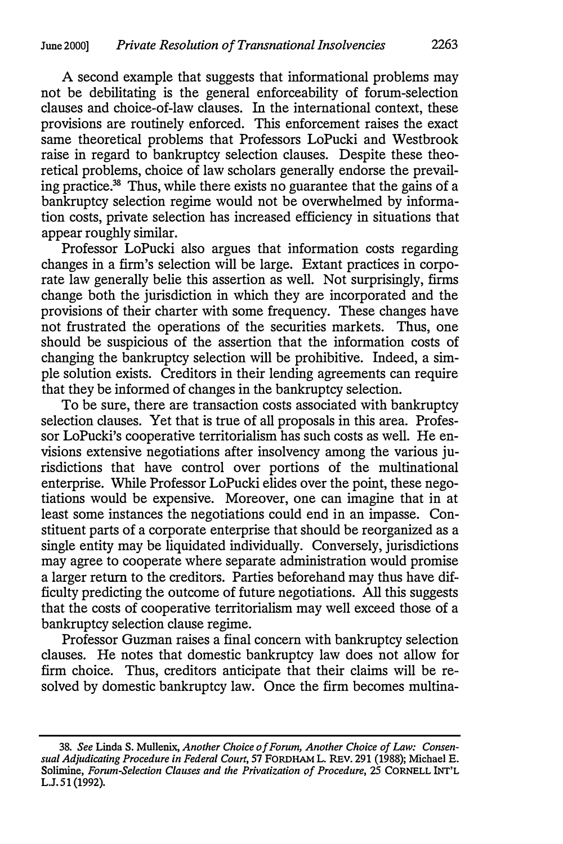A second example that suggests that informational problems may not be debilitating is the general enforceability of forum-selection clauses and choice-of-law clauses. In the international context, these provisions are routinely enforced. This enforcement raises the exact same theoretical problems that Professors LoPucki and Westbrook raise in regard to bankruptcy selection clauses. Despite these theoretical problems, choice of law scholars generally endorse the prevailing practice.38 Thus, while there exists no guarantee that the gains of a bankruptcy selection regime would not be overwhelmed by information costs, private selection has increased efficiency in situations that appear roughly similar.

Professor LoPucki also argues that information costs regarding changes in a firm's selection will be large. Extant practices in corporate law generally belie this assertion as well. Not surprisingly, firms change both the jurisdiction in which they are incorporated and the provisions of their charter with some frequency. These changes have not frustrated the operations of the securities markets. Thus, one should be suspicious of the assertion that the information costs of changing the bankruptcy selection will be prohibitive. Indeed, a simple solution exists. Creditors in their lending agreements can require that they be informed of changes in the bankruptcy selection.

To be sure, there are transaction costs associated with bankruptcy selection clauses. Yet that is true of all proposals in this area. Professor LoPucki's cooperative territorialism has such costs as well. He envisions extensive negotiations after insolvency among the various jurisdictions that have control over portions of the multinational enterprise. While Professor LoPucki elides over the point, these negotiations would be expensive. Moreover, one can imagine that in at least some instances the negotiations could end in an impasse. Constituent parts of a corporate enterprise that should be reorganized as a single entity may be liquidated individually. Conversely, jurisdictions may agree to cooperate where separate administration would promise a larger return to the creditors. Parties beforehand may thus have difficulty predicting the outcome of future negotiations. All this suggests that the costs of cooperative territorialism may well exceed those of a bankruptcy selection clause regime.

Professor Guzman raises a final concern with bankruptcy selection clauses. He notes that domestic bankruptcy law does not allow for firm choice. Thus, creditors anticipate that their claims will be resolved by domestic bankruptcy law. Once the firm becomes multina-

<sup>38.</sup> See Linda S. Mullenix, Another Choice of Forum, Another Choice of Law: Consensual Adjudicating Procedure in Federal Court, 57 FORDHAM L. REV. 291 (1988); Michael E. Solimine, Forum-Selection Clauses and the Privatization of Procedure, 25 CORNELL INT'L L.J. 51 (1992).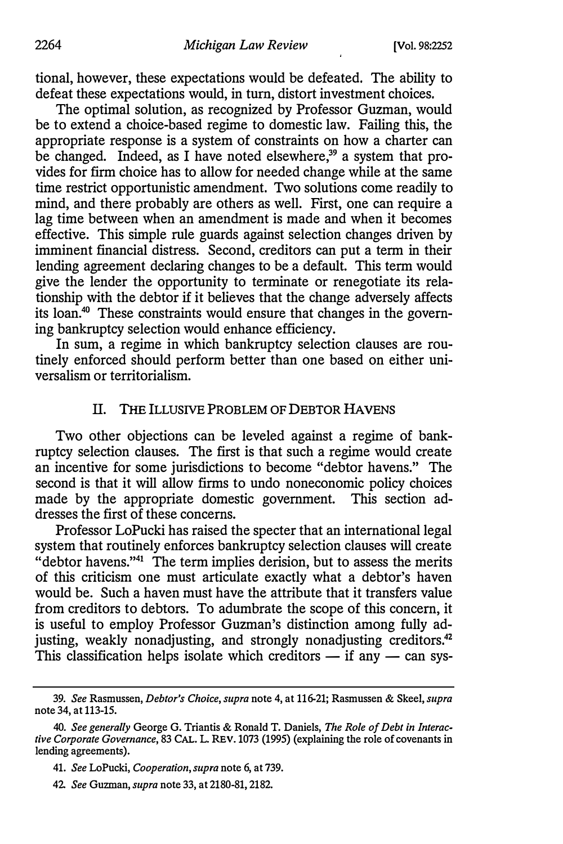tional, however, these expectations would be defeated. The ability to defeat these expectations would, in tum, distort investment choices.

The optimal solution, as recognized by Professor Guzman, would be to extend a choice-based regime to domestic law. Failing this, the appropriate response is a system of constraints on how a charter can be changed. Indeed, as I have noted elsewhere, $39$  a system that provides for firm choice has to allow for needed change while at the same time restrict opportunistic amendment. Two solutions come readily to mind, and there probably are others as well. First, one can require a lag time between when an amendment is made and when it becomes effective. This simple rule guards against selection changes driven by imminent financial distress. Second, creditors can put a term in their lending agreement declaring changes to be a default. This term would give the lender the opportunity to terminate or renegotiate its relationship with the debtor if it believes that the change adversely affects its loan.40 These constraints would ensure that changes in the governing bankruptcy selection would enhance efficiency.

In sum, a regime in which bankruptcy selection clauses are routinely enforced should perform better than one based on either universalism or territorialism.

#### II. THE ILLUSIVE PROBLEM OF DEBTOR HAVENS

Two other objections can be leveled against a regime of bankruptcy selection clauses. The first is that such a regime would create an incentive for some jurisdictions to become "debtor havens." The second is that it will allow firms to undo noneconomic policy choices made by the appropriate domestic government. This section addresses the first of these concerns.

Professor LoPucki has raised the specter that an international legal system that routinely enforces bankruptcy selection clauses will create "debtor havens."<sup>41</sup> The term implies derision, but to assess the merits of this criticism one must articulate exactly what a debtor's haven would be. Such a haven must have the attribute that it transfers value from creditors to debtors. To adumbrate the scope of this concern, it is useful to employ Professor Guzman's distinction among fully adjusting, weakly nonadjusting, and strongly nonadjusting creditors.<sup>42</sup> This classification helps isolate which creditors  $-$  if any  $-$  can sys-

<sup>39.</sup> See Rasmussen, Debtor's Choice, supra note 4, at 116-21; Rasmussen & Skeel, supra note 34, at 113-15.

<sup>40.</sup> See generally George G. Triantis & Ronald T. Daniels, The Role of Debt in Interactive Corporate Governance, 83 CAL. L. REV. 1073 (1995) (explaining the role of covenants in lending agreements).

<sup>41.</sup> See LoPucki, Cooperation, supra note 6, at 739.

<sup>42</sup> See Guzman, supra note 33, at 2180-81, 2182.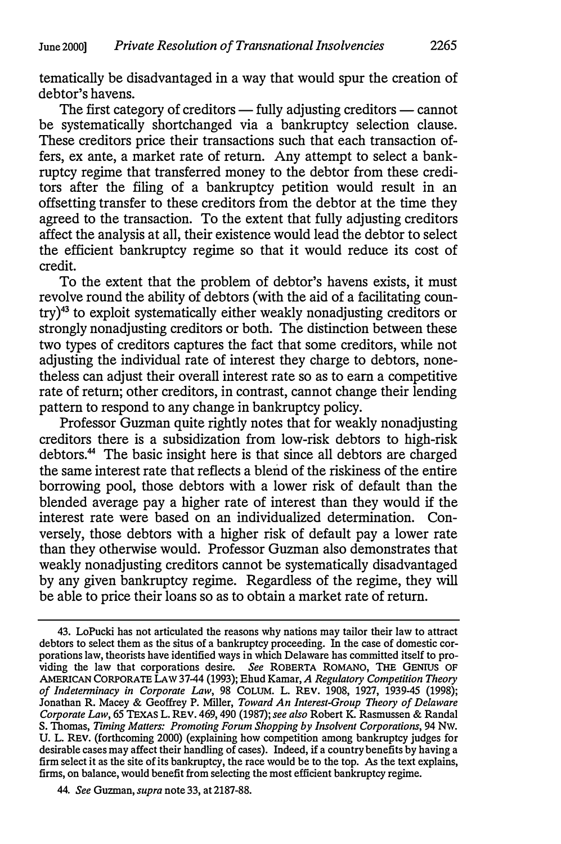tematically be disadvantaged in a way that would spur the creation of debtor's havens.

The first category of creditors  $-$  fully adjusting creditors  $-$  cannot be systematically shortchanged via a bankruptcy selection clause. These creditors price their transactions such that each transaction offers, ex ante, a market rate of return. Any attempt to select a bankruptcy regime that transferred money to the debtor from these creditors after the filing of a bankruptcy petition would result in an offsetting transfer to these creditors from the debtor at the time they agreed to the transaction. To the extent that fully adjusting creditors affect the analysis at all, their existence would lead the debtor to select the efficient bankruptcy regime so that it would reduce its cost of credit.

To the extent that the problem of debtor's havens exists, it must revolve round the ability of debtors (with the aid of a facilitating country)43 to exploit systematically either weakly nonadjusting creditors or strongly nonadjusting creditors or both. The distinction between these two types of creditors captures the fact that some creditors, while not adjusting the individual rate of interest they charge to debtors, nonetheless can adjust their overall interest rate so as to earn a competitive rate of return; other creditors, in contrast, cannot change their lending pattern to respond to any change in bankruptcy policy.

Professor Guzman quite rightly notes that for weakly nonadjusting creditors there is a subsidization from low-risk debtors to high-risk debtors.44 The basic insight here is that since all debtors are charged the same interest rate that reflects a blend of the riskiness of the entire borrowing pool, those debtors with a lower risk of default than the blended average pay a higher rate of interest than they would if the interest rate were based on an individualized determination. Conversely, those debtors with a higher risk of default pay a lower rate than they otherwise would. Professor Guzman also demonstrates that weakly nonadjusting creditors cannot be systematically disadvantaged by any given bankruptcy regime. Regardless of the regime, they will be able to price their loans so as to obtain a market rate of return.

44. See Guzman, supra note 33, at 2187-88.

<sup>43.</sup> LoPucki has not articulated the reasons why nations may tailor their law to attract debtors to select them as the situs of a bankruptcy proceeding. In the case of domestic corporations law, theorists have identified ways in which Delaware has committed itself to providing the law that corporations desire. See ROBERTA ROMANO, THE GENIUS OF AMERICAN CORPORATE LAW 37-44 (1993); Ehud Kamar, A Regulatory Competition Theory of Indeterminacy in Corporate Law, 98 COLUM. L. REV. 1908, 1927, 1939-45 (1998); Jonathan R. Macey & Geoffrey P. Miller, Toward An Interest-Group Theory of Delaware Corporate Law, 65 TEXAS L. REV. 469, 490 (1987); see also Robert K. Rasmussen & Randal S. Thomas, Timing Matters: Promoting Forum Shopping by Insolvent Corporations, 94 NW. U. L. REV. (forthcoming 2000) (explaining how competition among bankruptcy judges for desirable cases may affect their handling of cases). Indeed, if a country benefits by having a firm select it as the site of its bankruptcy, the race would be to the top. As the text explains, firms, on balance, would benefit from selecting the most efficient bankruptcy regime.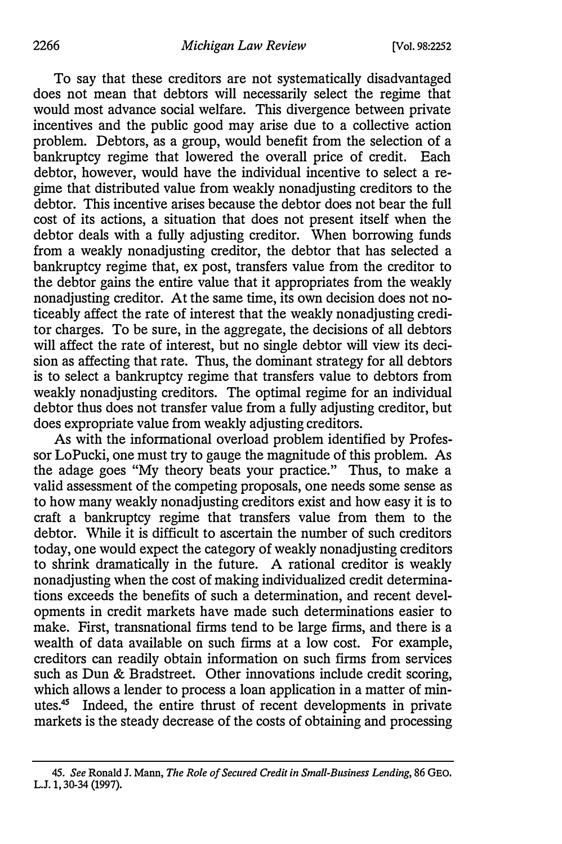To say that these creditors are not systematically disadvantaged does not mean that debtors will necessarily select the regime that would most advance social welfare. This divergence between private incentives and the public good may arise due to a collective action problem. Debtors, as a group, would benefit from the selection of a bankruptcy regime that lowered the overall price of credit. Each debtor, however, would have the individual incentive to select a regime that distributed value from weakly nonadjusting creditors to the debtor. This incentive arises because the debtor does not bear the full cost of its actions, a situation that does not present itself when the debtor deals with a fully adjusting creditor. When borrowing funds from a weakly nonadjusting creditor, the debtor that has selected a bankruptcy regime that, ex post, transfers value from the creditor to the debtor gains the entire value that it appropriates from the weakly nonadjusting creditor. At the same time, its own decision does not noticeably affect the rate of interest that the weakly nonadjusting creditor charges. To be sure, in the aggregate, the decisions of all debtors will affect the rate of interest, but no single debtor will view its decision as affecting that rate. Thus, the dominant strategy for all debtors is to select a bankruptcy regime that transfers value to debtors from weakly nonadjusting creditors. The optimal regime for an individual debtor thus does not transfer value from a fully adjusting creditor, but does expropriate value from weakly adjusting creditors.

As with the informational overload problem identified by Professor LoPucki, one must try to gauge the magnitude of this problem. As the adage goes "My theory beats your practice." Thus, to make a valid assessment of the competing proposals, one needs some sense as to how many weakly nonadjusting creditors exist and how easy it is to craft a bankruptcy regime that transfers value from them to the debtor. While it is difficult to ascertain the number of such creditors today, one would expect the category of weakly nonadjusting creditors to shrink dramatically in the future. A rational creditor is weakly nonadjusting when the cost of making individualized credit determinations exceeds the benefits of such a determination, and recent developments in credit markets have made such determinations easier to make. First, transnational firms tend to be large firms, and there is a wealth of data available on such firms at a low cost. For example, creditors can readily obtain information on such firms from services such as Dun & Bradstreet. Other innovations include credit scoring, which allows a lender to process a loan application in a matter of minutes.45 Indeed, the entire thrust of recent developments in private markets is the steady decrease of the costs of obtaining and processing

<sup>45.</sup> See Ronald J. Mann, The Role of Secured Credit in Small-Business Lending, 86 GEO. L.J. 1, 30-34 (1997).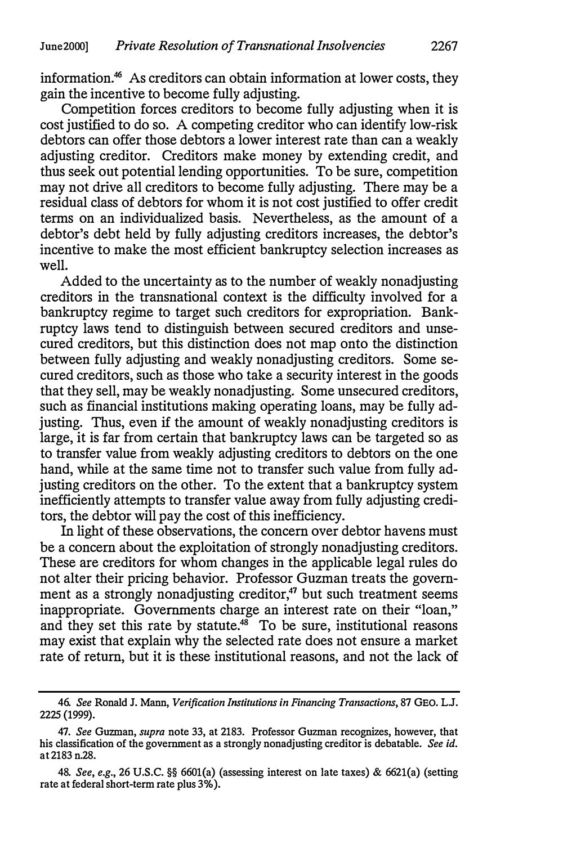information.46 As creditors can obtain information at lower costs, they gain the incentive to become fully adjusting.

Competition forces creditors to become fully adjusting when it is cost justified to do so. A competing creditor who can identify low-risk debtors can offer those debtors a lower interest rate than can a weakly adjusting creditor. Creditors make money by extending credit, and thus seek out potential lending opportunities. To be sure, competition may not drive all creditors to become fully adjusting. There may be a residual class of debtors for whom it is not cost justified to offer credit terms on an individualized basis. Nevertheless, as the amount of a debtor's debt held by fully adjusting creditors increases, the debtor's incentive to make the most efficient bankruptcy selection increases as well.

Added to the uncertainty as to the number of weakly nonadjusting creditors in the transnational context is the difficulty involved for a bankruptcy regime to target such creditors for expropriation. Bankruptcy laws tend to distinguish between secured creditors and unsecured creditors, but this distinction does not map onto the distinction between fully adjusting and weakly nonadjusting creditors. Some secured creditors, such as those who take a security interest in the goods that they sell, may be weakly nonadjusting. Some unsecured creditors, such as financial institutions making operating loans, may be fully adjusting. Thus, even if the amount of weakly nonadjusting creditors is large, it is far from certain that bankruptcy laws can be targeted so as to transfer value from weakly adjusting creditors to debtors on the one hand, while at the same time not to transfer such value from fully adjusting creditors on the other. To the extent that a bankruptcy system inefficiently attempts to transfer value away from fully adjusting creditors, the debtor will pay the cost of this inefficiency.

In light of these observations, the concern over debtor havens must be a concern about the exploitation of strongly nonadjusting creditors. These are creditors for whom changes in the applicable legal rules do not alter their pricing behavior. Professor Guzman treats the government as a strongly nonadjusting creditor, $47$  but such treatment seems inappropriate. Governments charge an interest rate on their "loan," and they set this rate by statute.<sup>48</sup> To be sure, institutional reasons may exist that explain why the selected rate does not ensure a market rate of return, but it is these institutional reasons, and not the lack of

<sup>46.</sup> See Ronald J. Mann, Verification Institutions in Financing Transactions, 87 GEO. L.J. 2225 {1999).

<sup>47.</sup> See Guzman, supra note 33, at 2183. Professor Guzman recognizes, however, that his classification of the government as a strongly nonadjusting creditor is debatable. See id. at 2183 n.28.

<sup>48.</sup> See, e.g., 26 U.S.C. §§ 6601(a) (assessing interest on late taxes) & 6621(a) (setting rate at federal short-term rate plus 3%).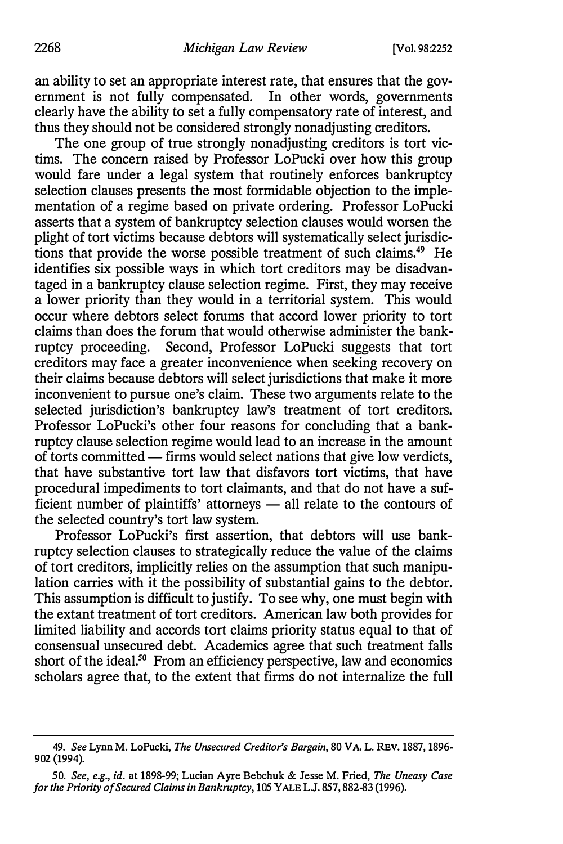an ability to set an appropriate interest rate, that ensures that the government is not fully compensated. In other words, governments clearly have the ability to set a fully compensatory rate of interest, and thus they should not be considered strongly nonadjusting creditors.

The one group of true strongly nonadjusting creditors is tort victims. The concern raised by Professor LoPucki over how this group would fare under a legal system that routinely enforces bankruptcy selection clauses presents the most formidable objection to the implementation of a regime based on private ordering. Professor LoPucki asserts that a system of bankruptcy selection clauses would worsen the plight of tort victims because debtors will systematically select jurisdictions that provide the worse possible treatment of such claims.<sup>49</sup> He identifies six possible ways in which tort creditors may be disadvantaged in a bankruptcy clause selection regime. First, they may receive a lower priority than they would in a territorial system. This would occur where debtors select forums that accord lower priority to tort claims than does the forum that would otherwise administer the bankruptcy proceeding. Second, Professor LoPucki suggests that tort creditors may face a greater inconvenience when seeking recovery on their claims because debtors will select jurisdictions that make it more inconvenient to pursue one's claim. These two arguments relate to the selected jurisdiction's bankruptcy law's treatment of tort creditors. Professor LoPucki's other four reasons for concluding that a bankruptcy clause selection regime would lead to an increase in the amount of torts committed — firms would select nations that give low verdicts, that have substantive tort law that disfavors tort victims, that have procedural impediments to tort claimants, and that do not have a suf $ficient number of plaintexts' attempts$   $-$  all relate to the contours of the selected country's tort law system.

Professor LoPucki's first assertion, that debtors will use bankruptcy selection clauses to strategically reduce the value of the claims of tort creditors, implicitly relies on the assumption that such manipulation carries with it the possibility of substantial gains to the debtor. This assumption is difficult to justify. To see why, one must begin with the extant treatment of tort creditors. American law both provides for limited liability and accords tort claims priority status equal to that of consensual unsecured debt. Academics agree that such treatment falls short of the ideal.<sup>50</sup> From an efficiency perspective, law and economics scholars agree that, to the extent that firms do not internalize the full

<sup>49.</sup> See Lynn M. LoPucki, The Unsecured Creditor's Bargain, 80 VA. L. REV. 1887, 1896-902 (1994).

<sup>50.</sup> See, e.g., id. at 1898-99; Lucian Ayre Bebchuk & Jesse M. Fried, The Uneasy Case for the Priority of Secured Claims in Bankruptcy, 105 YALE LJ. 857, 882-83 (1996).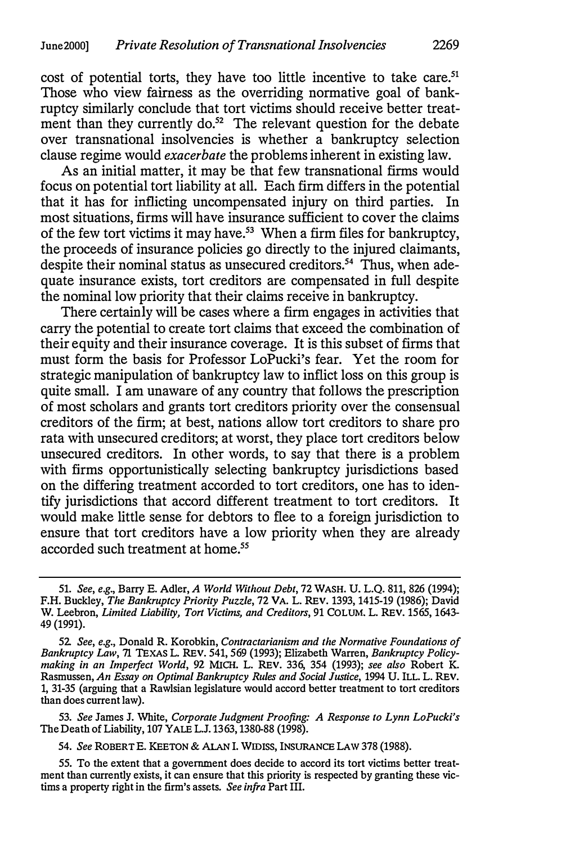cost of potential torts, they have too little incentive to take care.<sup>51</sup> Those who view fairness as the overriding normative goal of bankruptcy similarly conclude that tort victims should receive better treatment than they currently do.<sup>52</sup> The relevant question for the debate over transnational insolvencies is whether a bankruptcy selection clause regime would exacerbate the problems inherent in existing law.

As an initial matter, it may be that few transnational firms would focus on potential tort liability at all. Each firm differs in the potential that it has for inflicting uncompensated injury on third parties. In most situations, firms will have insurance sufficient to cover the claims of the few tort victims it may have.53 When a firm files for bankruptcy, the proceeds of insurance policies go directly to the injured claimants, despite their nominal status as unsecured creditors.<sup>54</sup> Thus, when adequate insurance exists, tort creditors are compensated in full despite the nominal low priority that their claims receive in bankruptcy.

There certainly will be cases where a firm engages in activities that carry the potential to create tort claims that exceed the combination of their equity and their insurance coverage. It is this subset of firms that must form the basis for Professor LoPucki's fear. Yet the room for strategic manipulation of bankruptcy law to inflict loss on this group is quite small. I am unaware of any country that follows the prescription of most scholars and grants tort creditors priority over the consensual creditors of the firm; at best, nations allow tort creditors to share pro rata with unsecured creditors; at worst, they place tort creditors below unsecured creditors. In other words, to say that there is a problem with firms opportunistically selecting bankruptcy jurisdictions based on the differing treatment accorded to tort creditors, one has to identify jurisdictions that accord different treatment to tort creditors. It would make little sense for debtors to flee to a foreign jurisdiction to ensure that tort creditors have a low priority when they are already accorded such treatment at home.<sup>55</sup>

53. See James J. White, Corporate Judgment Proofing: A Response to Lynn LoPucki's The Death of Liability, 107 YALE L.J. 1363, 1380-88 (1998).

54. See ROBERT E. KEETON & ALAN I. WIDISS, INSURANCE LAW 378 (1988).

55. To the extent that a government does decide to accord its tort victims better treatment than currently exists, it can ensure that this priority is respected by granting these victims a property right in the firm's assets. See infra Part III.

<sup>51.</sup> See, e.g., Barry E. Adler, A World Without Debt, 72 WASH. U. L.Q. 811, 826 (1994); F.H. Buckley, The Bankruptcy Priority Puzzle, 72 VA. L. REV. 1393, 1415-19 (1986); David W. Leebron, Limited Liability, Tort Victims, and Creditors, 91 COLUM. L. REV. 1565, 1643- 49 (1991).

<sup>52.</sup> See, e.g., Donald R. Korobkin, Contractarianism and the Normative Foundations of Bankruptcy Law, 71 TEXAS L. REV. 541, 569 (1993); Elizabeth Warren, Bankruptcy Policymaking in an Imperfect World, 92 MICH. L. REV. 336, 354 (1993); see also Robert K. Rasmussen, An Essay on Optimal Bankruptcy Rules and Social Justice, 1994 U. ILL. L. REV. 1, 31-35 (arguing that a Rawlsian legislature would accord better treatment to tort creditors than does current law).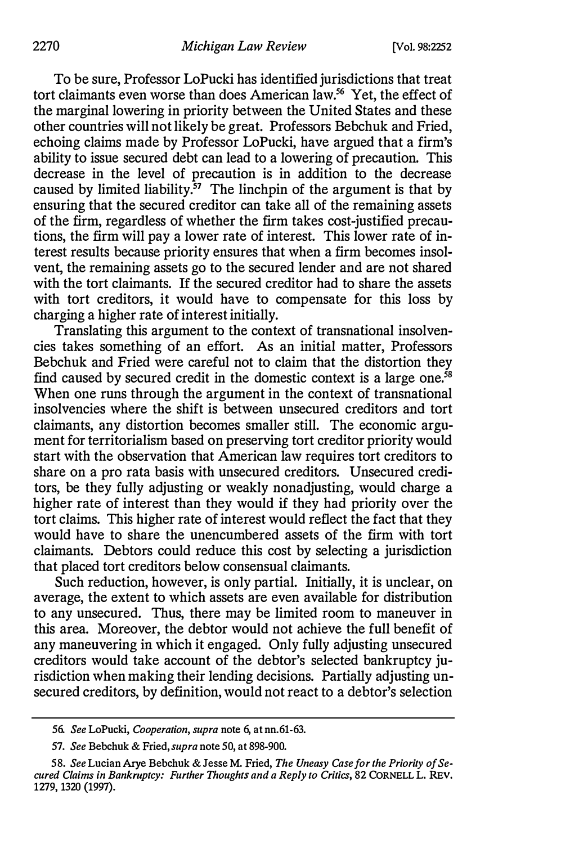To be sure, Professor LoPucki has identified jurisdictions that treat tort claimants even worse than does American law.56 Yet, the effect of the marginal lowering in priority between the United States and these other countries will not likely be great. Professors Bebchuk and Fried, echoing claims made by Professor LoPucki, have argued that a firm's ability to issue secured debt can lead to a lowering of precaution. This decrease in the level of precaution is in addition to the decrease caused by limited liability.<sup>57</sup> The linchpin of the argument is that by ensuring that the secured creditor can take all of the remaining assets of the firm, regardless of whether the firm takes cost-justified precautions, the firm will pay a lower rate of interest. This lower rate of interest results because priority ensures that when a firm becomes insolvent, the remaining assets go to the secured lender and are not shared with the tort claimants. If the secured creditor had to share the assets with tort creditors, it would have to compensate for this loss by charging a higher rate of interest initially.

Translating this argument to the context of transnational insolvencies takes something of an effort. As an initial matter, Professors Bebchuk and Fried were careful not to claim that the distortion they find caused by secured credit in the domestic context is a large one.<sup>58</sup> When one runs through the argument in the context of transnational insolvencies where the shift is between unsecured creditors and tort claimants, any distortion becomes smaller still. The economic argument for territorialism based on preserving tort creditor priority would start with the observation that American law requires tort creditors to share on a pro rata basis with unsecured creditors. Unsecured creditors, be they fully adjusting or weakly nonadjusting, would charge a higher rate of interest than they would if they had priority over the tort claims. This higher rate of interest would reflect the fact that they would have to share the unencumbered assets of the firm with tort claimants. Debtors could reduce this cost by selecting a jurisdiction that placed tort creditors below consensual claimants.

Such reduction, however, is only partial. Initially, it is unclear, on average, the extent to which assets are even available for distribution to any unsecured. Thus, there may be limited room to maneuver in this area. Moreover, the debtor would not achieve the full benefit of any maneuvering in which it engaged. Only fully adjusting unsecured creditors would take account of the debtor's selected bankruptcy jurisdiction when making their lending decisions. Partially adjusting unsecured creditors, by definition, would not react to a debtor's selection

<sup>56.</sup> See LoPucki, Cooperation, supra note 6, at nn.61-63.

<sup>57.</sup> See Bebchuk & Fried, supra note 50, at 898-900.

<sup>58.</sup> See Lucian Arye Bebchuk & Jesse M. Fried, The Uneasy Case for the Priority of Secured Claims in Bankruptcy: Further Thoughts and a Reply to Critics, 82 CORNELL L. REV. 1279, 1320 {1997).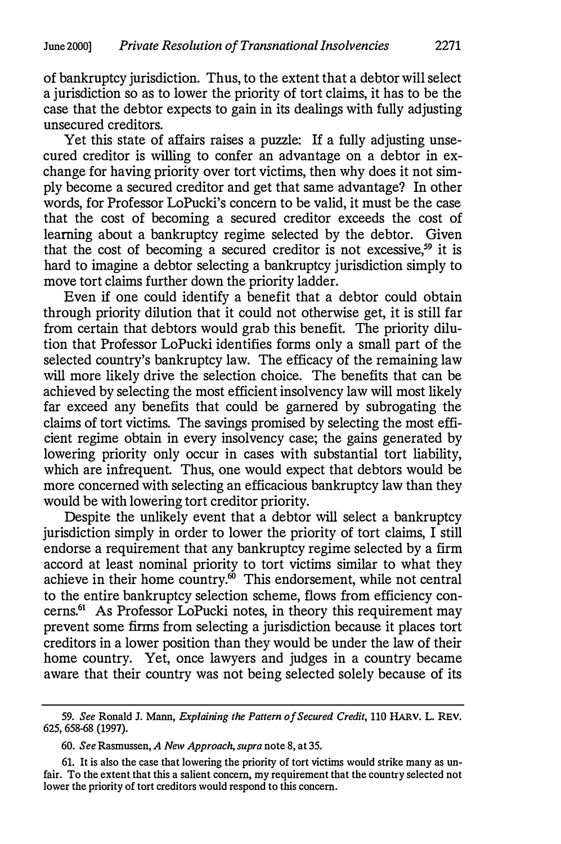of bankruptcy jurisdiction. Thus, to the extent that a debtor will select a jurisdiction so as to lower the priority of tort claims, it has to be the case that the debtor expects to gain in its dealings with fully adjusting unsecured creditors.

Yet this state of affairs raises a puzzle: If a fully adjusting unsecured creditor is willing to confer an advantage on a debtor in exchange for having priority over tort victims, then why does it not simply become a secured creditor and get that same advantage? In other words, for Professor LoPucki's concern to be valid, it must be the case that the cost of becoming a secured creditor exceeds the cost of learning about a bankruptcy regime selected by the debtor. Given that the cost of becoming a secured creditor is not excessive,<sup>59</sup> it is hard to imagine a debtor selecting a bankruptcy jurisdiction simply to move tort claims further down the priority ladder.

Even if one could identify a benefit that a debtor could obtain through priority dilution that it could not otherwise get, it is still far from certain that debtors would grab this benefit. The priority dilution that Professor LoPucki identifies forms only a small part of the selected country's bankruptcy law. The efficacy of the remaining law will more likely drive the selection choice. The benefits that can be achieved by selecting the most efficient insolvency law will most likely far exceed any benefits that could be garnered by subrogating the claims of tort victims. The savings promised by selecting the most efficient regime obtain in every insolvency case; the gains generated by lowering priority only occur in cases with substantial tort liability, which are infrequent. Thus, one would expect that debtors would be more concerned with selecting an efficacious bankruptcy law than they would be with lowering tort creditor priority.

Despite the unlikely event that a debtor will select a bankruptcy jurisdiction simply in order to lower the priority of tort claims, I still endorse a requirement that any bankruptcy regime selected by a firm accord at least nominal priority to tort victims similar to what they achieve in their home country. $\mathbb{S}^{\infty}$  This endorsement, while not central to the entire bankruptcy selection scheme, flows from efficiency concerns.61 As Professor LoPucki notes, in theory this requirement may prevent some firms from selecting a jurisdiction because it places tort creditors in a lower position than they would be under the law of their home country. Yet, once lawyers and judges in a country became aware that their country was not being selected solely because of its

<sup>59.</sup> See Ronald J. Mann, Explaining the Pattern of Secured Credit, 110 HARV. L. REV. 625, 658-68 (1997).

<sup>60.</sup> See Rasmussen, A New Approach, supra note 8, at 35.

<sup>61.</sup> It is also the case that lowering the priority of tort victims would strike many as unfair. To the extent that this a salient concern, my requirement that the country selected not lower the priority of tort creditors would respond to this concern.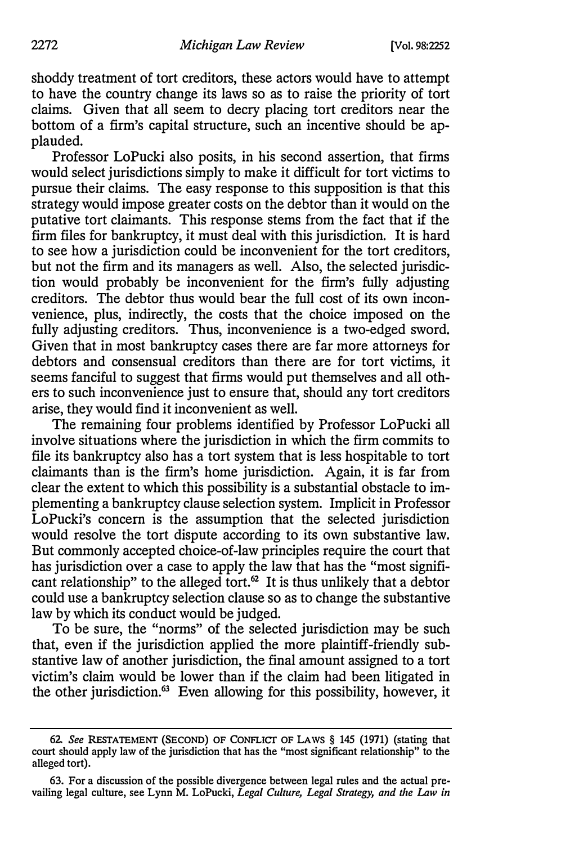shoddy treatment of tort creditors, these actors would have to attempt to have the country change its laws so as to raise the priority of tort claims. Given that all seem to decry placing tort creditors near the bottom of a firm's capital structure, such an incentive should be applauded.

Professor LoPucki also posits, in his second assertion, that firms would select jurisdictions simply to make it difficult for tort victims to pursue their claims. The easy response to this supposition is that this strategy would impose greater costs on the debtor than it would on the putative tort claimants. This response stems from the fact that if the firm files for bankruptcy, it must deal with this jurisdiction. It is hard to see how a jurisdiction could be inconvenient for the tort creditors, but not the firm and its managers as well. Also, the selected jurisdiction would probably be inconvenient for the firm's fully adjusting creditors. The debtor thus would bear the full cost of its own inconvenience, plus, indirectly, the costs that the choice imposed on the fully adjusting creditors. Thus, inconvenience is a two-edged sword. Given that in most bankruptcy cases there are far more attorneys for debtors and consensual creditors than there are for tort victims, it seems fanciful to suggest that firms would put themselves and all others to such inconvenience just to ensure that, should any tort creditors arise, they would find it inconvenient as well.

The remaining four problems identified by Professor LoPucki all involve situations where the jurisdiction in which the firm commits to file its bankruptcy also has a tort system that is less hospitable to tort claimants than is the firm's home jurisdiction. Again, it is far from clear the extent to which this possibility is a substantial obstacle to implementing a bankruptcy clause selection system. Implicit in Professor LoPucki's concern is the assumption that the selected jurisdiction would resolve the tort dispute according to its own substantive law. But commonly accepted choice-of-law principles require the court that has jurisdiction over a case to apply the law that has the "most significant relationship" to the alleged tort.<sup>62</sup> It is thus unlikely that a debtor could use a bankruptcy selection clause so as to change the substantive law by which its conduct would be judged.

To be sure, the "norms" of the selected jurisdiction may be such that, even if the jurisdiction applied the more plaintiff-friendly substantive law of another jurisdiction, the final amount assigned to a tort victim's claim would be lower than if the claim had been litigated in the other jurisdiction. $63$  Even allowing for this possibility, however, it

<sup>62</sup> See REsTATEMENT (SECOND) OF CONFLICT OF LAWS § 145 (1971) (stating that court should apply law of the jurisdiction that has the "most significant relationship" to the alleged tort).

<sup>63.</sup> For a discussion of the possible divergence between legal rules and the actual prevailing legal culture, see Lynn M. LoPucki, Legal Culture, Legal Strategy, and the Law in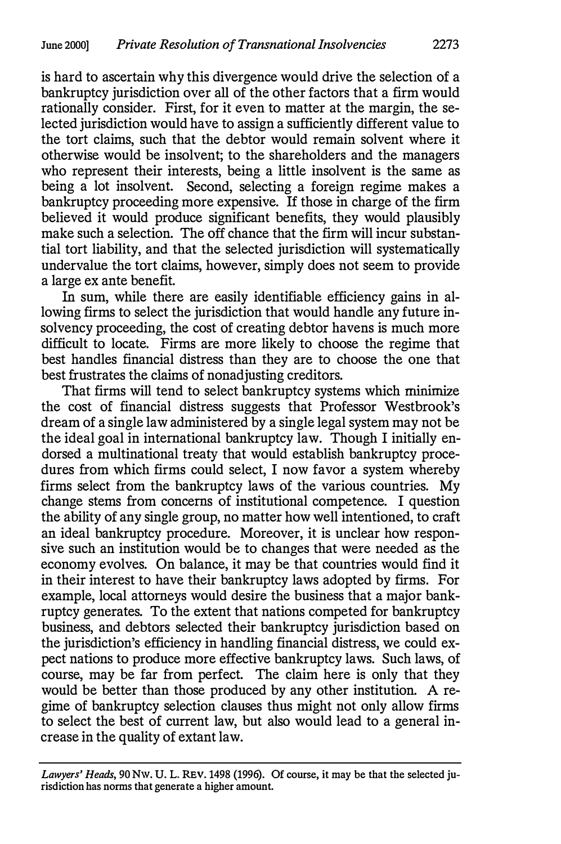is hard to ascertain why this divergence would drive the selection of a bankruptcy jurisdiction over all of the other factors that a firm would rationally consider. First, for it even to matter at the margin, the selected jurisdiction would have to assign a sufficiently different value to the tort claims, such that the debtor would remain solvent where it otherwise would be insolvent; to the shareholders and the managers who represent their interests, being a little insolvent is the same as being a lot insolvent. Second, selecting a foreign regime makes a bankruptcy proceeding more expensive. If those in charge of the firm believed it would produce significant benefits, they would plausibly make such a selection. The off chance that the firm will incur substantial tort liability, and that the selected jurisdiction will systematically undervalue the tort claims, however, simply does not seem to provide a large ex ante benefit.

In sum, while there are easily identifiable efficiency gains in allowing firms to select the jurisdiction that would handle any future insolvency proceeding, the cost of creating debtor havens is much more difficult to locate. Firms are more likely to choose the regime that best handles financial distress than they are to choose the one that best frustrates the claims of nonadjusting creditors.

That firms will tend to select bankruptcy systems which minimize the cost of financial distress suggests that Professor Westbrook's dream of a single law administered by a single legal system may not be the ideal goal in international bankruptcy law. Though I initially endorsed a multinational treaty that would establish bankruptcy procedures from which firms could select, I now favor a system whereby firms select from the bankruptcy laws of the various countries. My change stems from concerns of institutional competence. I question the ability of any single group, no matter how well intentioned, to craft an ideal bankruptcy procedure. Moreover, it is unclear how responsive such an institution would be to changes that were needed as the economy evolves. On balance, it may be that countries would find it in their interest to have their bankruptcy laws adopted by firms. For example, local attorneys would desire the business that a major bankruptcy generates. To the extent that nations competed for bankruptcy business, and debtors selected their bankruptcy jurisdiction based on the jurisdiction's efficiency in handling financial distress, we could expect nations to produce more effective bankruptcy laws. Such laws, of course, may be far from perfect. The claim here is only that they would be better than those produced by any other institution. A regime of bankruptcy selection clauses thus might not only allow firms to select the best of current law, but also would lead to a general increase in the quality of extant law.

Lawyers' Heads, 90 NW. U. L. REV. 1498 (1996). Of course, it may be that the selected jurisdiction has norms that generate a higher amount.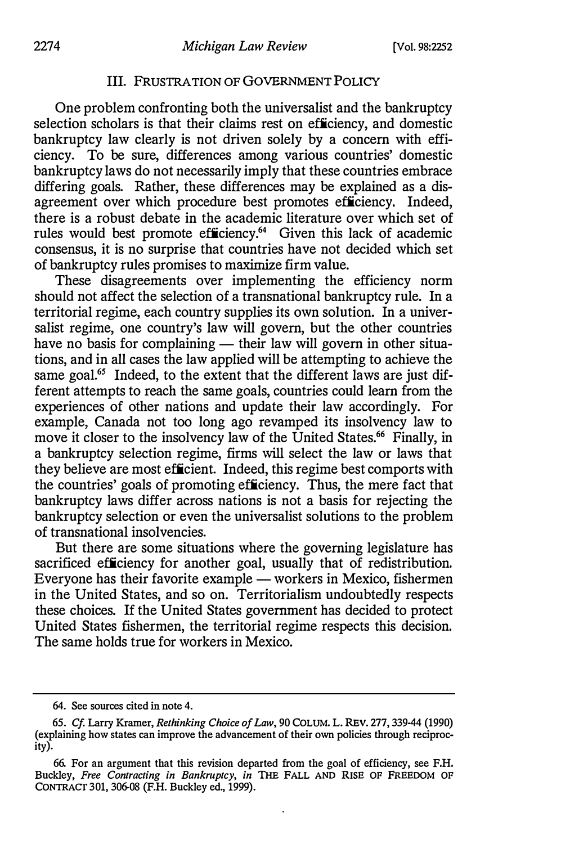#### III. FRUSTRATION OF GOVERNMENT POLICY

One problem confronting both the universalist and the bankruptcy selection scholars is that their claims rest on efficiency, and domestic bankruptcy law clearly is not driven solely by a concern with efficiency. To be sure, differences among various countries' domestic bankruptcy laws do not necessarily imply that these countries embrace differing goals. Rather, these differences may be explained as a disagreement over which procedure best promotes efficiency. Indeed, there is a robust debate in the academic literature over which set of rules would best promote efficiency.<sup>64</sup> Given this lack of academic consensus, it is no surprise that countries have not decided which set of bankruptcy rules promises to maximize firm value.

These disagreements over implementing the efficiency norm should not affect the selection of a transnational bankruptcy rule. In a territorial regime, each country supplies its own solution. In a universalist regime, one country's law will govern, but the other countries have no basis for complaining — their law will govern in other situations, and in all cases the law applied will be attempting to achieve the same goal.<sup>65</sup> Indeed, to the extent that the different laws are just different attempts to reach the same goals, countries could learn from the experiences of other nations and update their law accordingly. For example, Canada not too long ago revamped its insolvency law to move it closer to the insolvency law of the United States.<sup>66</sup> Finally, in a bankruptcy selection regime, firms will select the law or laws that they believe are most efficient. Indeed, this regime best comports with the countries' goals of promoting efficiency. Thus, the mere fact that bankruptcy laws differ across nations is not a basis for rejecting the bankruptcy selection or even the universalist solutions to the problem of transnational insolvencies.

But there are some situations where the governing legislature has sacrificed efficiency for another goal, usually that of redistribution. Everyone has their favorite example — workers in Mexico, fishermen in the United States, and so on. Territorialism undoubtedly respects these choices. If the United States government has decided to protect United States fishermen, the territorial regime respects this decision. The same holds true for workers in Mexico.

<sup>64.</sup> See sources cited in note 4.

<sup>65.</sup> Cf. Larry Kramer, Rethinking Choice of Law, 90 COLUM. L. REV. 277, 339-44 (1990) (explaining how states can improve the advancement of their own policies through reciprocity).

<sup>66.</sup> For an argument that this revision departed from the goal of efficiency, see F.H. Buckley, Free Contracting in Bankruptcy, in THE FALL AND RISE OF FREEDOM OF CONTRACT 301, 306-08 (F.H. Buckley ed., 1999).